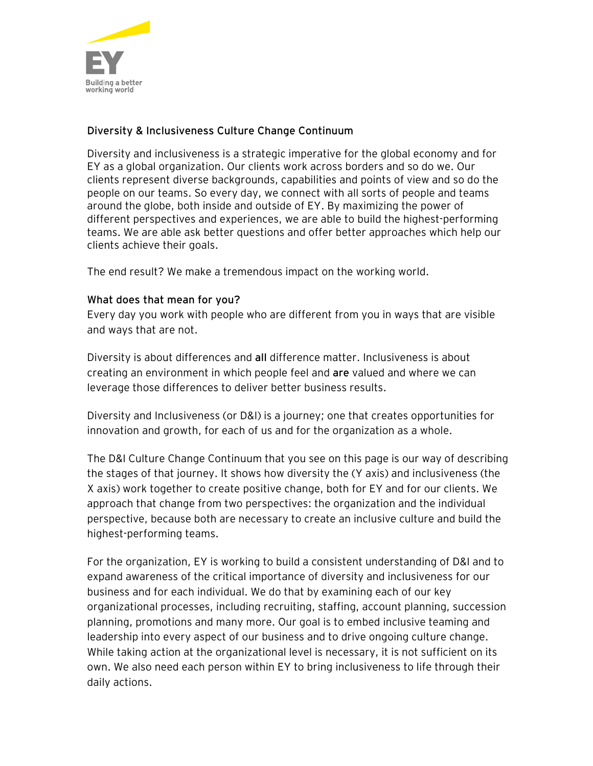

## **Diversity & Inclusiveness Culture Change Continuum**

Diversity and inclusiveness is a strategic imperative for the global economy and for EY as a global organization. Our clients work across borders and so do we. Our clients represent diverse backgrounds, capabilities and points of view and so do the people on our teams. So every day, we connect with all sorts of people and teams around the globe, both inside and outside of EY. By maximizing the power of different perspectives and experiences, we are able to build the highest-performing teams. We are able ask better questions and offer better approaches which help our clients achieve their goals.

The end result? We make a tremendous impact on the working world.

## **What does that mean for you?**

Every day you work with people who are different from you in ways that are visible and ways that are not.

Diversity is about differences and **all** difference matter. Inclusiveness is about creating an environment in which people feel and **are** valued and where we can leverage those differences to deliver better business results.

Diversity and Inclusiveness (or D&I) is a journey; one that creates opportunities for innovation and growth, for each of us and for the organization as a whole.

The D&I Culture Change Continuum that you see on this page is our way of describing the stages of that journey. It shows how diversity the (Y axis) and inclusiveness (the X axis) work together to create positive change, both for EY and for our clients. We approach that change from two perspectives: the organization and the individual perspective, because both are necessary to create an inclusive culture and build the highest-performing teams.

For the organization, EY is working to build a consistent understanding of D&I and to expand awareness of the critical importance of diversity and inclusiveness for our business and for each individual. We do that by examining each of our key organizational processes, including recruiting, staffing, account planning, succession planning, promotions and many more. Our goal is to embed inclusive teaming and leadership into every aspect of our business and to drive ongoing culture change. While taking action at the organizational level is necessary, it is not sufficient on its own. We also need each person within EY to bring inclusiveness to life through their daily actions.